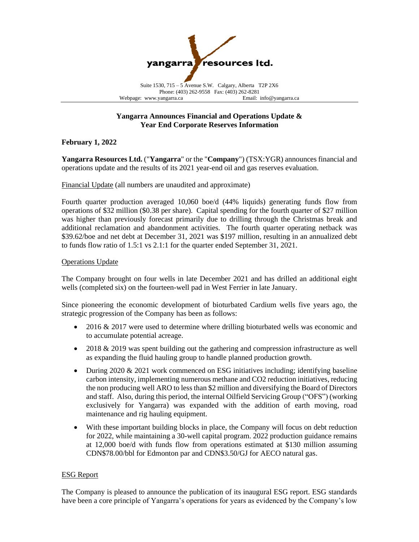

# **Yangarra Announces Financial and Operations Update & Year End Corporate Reserves Information**

## **February 1, 2022**

**Yangarra Resources Ltd.** ("**Yangarra**" or the "**Company**") (TSX:YGR) announces financial and operations update and the results of its 2021 year-end oil and gas reserves evaluation.

Financial Update (all numbers are unaudited and approximate)

Fourth quarter production averaged 10,060 boe/d (44% liquids) generating funds flow from operations of \$32 million (\$0.38 per share). Capital spending for the fourth quarter of \$27 million was higher than previously forecast primarily due to drilling through the Christmas break and additional reclamation and abandonment activities. The fourth quarter operating netback was \$39.62/boe and net debt at December 31, 2021 was \$197 million, resulting in an annualized debt to funds flow ratio of 1.5:1 vs 2.1:1 for the quarter ended September 31, 2021.

## Operations Update

The Company brought on four wells in late December 2021 and has drilled an additional eight wells (completed six) on the fourteen-well pad in West Ferrier in late January.

Since pioneering the economic development of bioturbated Cardium wells five years ago, the strategic progression of the Company has been as follows:

- 2016 & 2017 were used to determine where drilling bioturbated wells was economic and to accumulate potential acreage.
- 2018 & 2019 was spent building out the gathering and compression infrastructure as well as expanding the fluid hauling group to handle planned production growth.
- During 2020 & 2021 work commenced on ESG initiatives including; identifying baseline carbon intensity, implementing numerous methane and CO2 reduction initiatives, reducing the non producing well ARO to less than \$2 million and diversifying the Board of Directors and staff. Also, during this period, the internal Oilfield Servicing Group ("OFS") (working exclusively for Yangarra) was expanded with the addition of earth moving, road maintenance and rig hauling equipment.
- With these important building blocks in place, the Company will focus on debt reduction for 2022, while maintaining a 30-well capital program. 2022 production guidance remains at 12,000 boe/d with funds flow from operations estimated at \$130 million assuming CDN\$78.00/bbl for Edmonton par and CDN\$3.50/GJ for AECO natural gas.

## ESG Report

The Company is pleased to announce the publication of its inaugural ESG report. ESG standards have been a core principle of Yangarra's operations for years as evidenced by the Company's low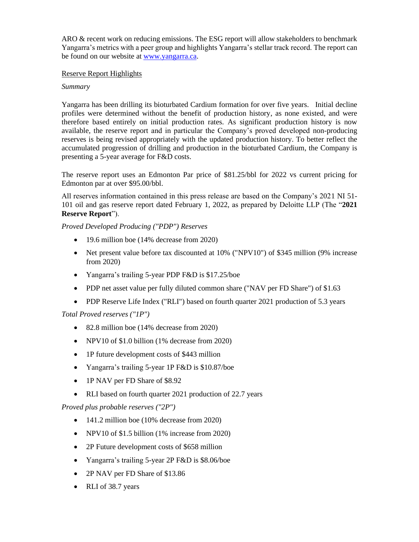ARO & recent work on reducing emissions. The ESG report will allow stakeholders to benchmark Yangarra's metrics with a peer group and highlights Yangarra's stellar track record. The report can be found on our website at [www.yangarra.ca.](http://www.yangarra.ca/)

## Reserve Report Highlights

# *Summary*

Yangarra has been drilling its bioturbated Cardium formation for over five years. Initial decline profiles were determined without the benefit of production history, as none existed, and were therefore based entirely on initial production rates. As significant production history is now available, the reserve report and in particular the Company's proved developed non-producing reserves is being revised appropriately with the updated production history. To better reflect the accumulated progression of drilling and production in the bioturbated Cardium, the Company is presenting a 5-year average for F&D costs.

The reserve report uses an Edmonton Par price of \$81.25/bbl for 2022 vs current pricing for Edmonton par at over \$95.00/bbl.

All reserves information contained in this press release are based on the Company's 2021 NI 51- 101 oil and gas reserve report dated February 1, 2022, as prepared by Deloitte LLP (The "**2021 Reserve Report**").

*Proved Developed Producing ("PDP") Reserves* 

- 19.6 million boe (14% decrease from 2020)
- Net present value before tax discounted at 10% ("NPV10") of \$345 million (9% increase from 2020)
- Yangarra's trailing 5-year PDP F&D is \$17.25/boe
- PDP net asset value per fully diluted common share ("NAV per FD Share") of \$1.63
- PDP Reserve Life Index ("RLI") based on fourth quarter 2021 production of 5.3 years

# *Total Proved reserves ("1P")*

- 82.8 million boe (14% decrease from 2020)
- NPV10 of \$1.0 billion (1% decrease from 2020)
- 1P future development costs of \$443 million
- Yangarra's trailing 5-year 1P F&D is \$10.87/boe
- 1P NAV per FD Share of \$8.92
- RLI based on fourth quarter 2021 production of 22.7 years

## *Proved plus probable reserves ("2P")*

- 141.2 million boe (10% decrease from 2020)
- NPV10 of \$1.5 billion (1% increase from 2020)
- 2P Future development costs of \$658 million
- Yangarra's trailing 5-year 2P F&D is \$8.06/boe
- 2P NAV per FD Share of \$13.86
- RLI of 38.7 years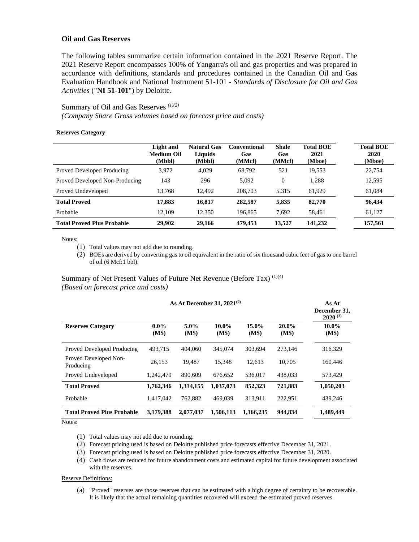## **Oil and Gas Reserves**

The following tables summarize certain information contained in the 2021 Reserve Report. The 2021 Reserve Report encompasses 100% of Yangarra's oil and gas properties and was prepared in accordance with definitions, standards and procedures contained in the Canadian Oil and Gas Evaluation Handbook and National Instrument 51-101 - *Standards of Disclosure for Oil and Gas Activities* ("**NI 51-101**") by Deloitte.

## Summary of Oil and Gas Reserves *(1)(2) (Company Share Gross volumes based on forecast price and costs)*

#### **Reserves Category**

|                                   | Light and<br><b>Medium Oil</b><br>(Mbbl) | <b>Natural Gas</b><br>Liquids<br>(Mbbl) | <b>Conventional</b><br>Gas<br>(MMcf) | <b>Shale</b><br>Gas<br>(MMcf) | <b>Total BOE</b><br>2021<br>(Mboe) | <b>Total BOE</b><br>2020<br>(Mboe) |
|-----------------------------------|------------------------------------------|-----------------------------------------|--------------------------------------|-------------------------------|------------------------------------|------------------------------------|
| Proved Developed Producing        | 3,972                                    | 4,029                                   | 68,792                               | 521                           | 19,553                             | 22,754                             |
| Proved Developed Non-Producing    | 143                                      | 296                                     | 5,092                                | $\overline{0}$                | 1.288                              | 12,595                             |
| Proved Undeveloped                | 13.768                                   | 12.492                                  | 208,703                              | 5,315                         | 61,929                             | 61,084                             |
| <b>Total Proved</b>               | 17,883                                   | 16,817                                  | 282,587                              | 5,835                         | 82,770                             | 96,434                             |
| Probable                          | 12.109                                   | 12.350                                  | 196.865                              | 7,692                         | 58.461                             | 61,127                             |
| <b>Total Proved Plus Probable</b> | 29,902                                   | 29,166                                  | 479,453                              | 13,527                        | 141,232                            | 157,561                            |

Notes:

(1) Total values may not add due to rounding.

(2) BOEs are derived by converting gas to oil equivalent in the ratio of six thousand cubic feet of gas to one barrel of oil (6 Mcf:1 bbl).

### Summary of Net Present Values of Future Net Revenue (Before Tax) (1)(4) *(Based on forecast price and costs)*

| As At December 31, $2021^{(2)}$                |                  |                  |                   |                   |                | As At<br>December 31,<br>$2020^{(3)}$ |
|------------------------------------------------|------------------|------------------|-------------------|-------------------|----------------|---------------------------------------|
| <b>Reserves Category</b>                       | $0.0\%$<br>(M\$) | $5.0\%$<br>(M\$) | $10.0\%$<br>(M\$) | $15.0\%$<br>(M\$) | 20.0%<br>(M\$) | $10.0\%$<br>(M\$)                     |
| Proved Developed Producing                     | 493,715          | 404,060          | 345,074           | 303,694           | 273,146        | 316,329                               |
| Proved Developed Non-<br>Producing             | 26,153           | 19.487           | 15,348            | 12.613            | 10,705         | 160,446                               |
| Proved Undeveloped                             | 1,242,479        | 890,609          | 676.652           | 536,017           | 438,033        | 573.429                               |
| <b>Total Proved</b>                            | 1,762,346        | 1,314,155        | 1,037,073         | 852,323           | 721,883        | 1,050,203                             |
| Probable                                       | 1,417,042        | 762,882          | 469,039           | 313,911           | 222,951        | 439,246                               |
| <b>Total Proved Plus Probable</b><br><b>AT</b> | 3,179,388        | 2,077,037        | 1.506.113         | 1,166,235         | 944,834        | 1,489,449                             |

Notes:

(1) Total values may not add due to rounding.

- (2) Forecast pricing used is based on Deloitte published price forecasts effective December 31, 2021.
- (3) Forecast pricing used is based on Deloitte published price forecasts effective December 31, 2020.
- (4) Cash flows are reduced for future abandonment costs and estimated capital for future development associated with the reserves.

#### Reserve Definitions:

(a) "Proved" reserves are those reserves that can be estimated with a high degree of certainty to be recoverable. It is likely that the actual remaining quantities recovered will exceed the estimated proved reserves.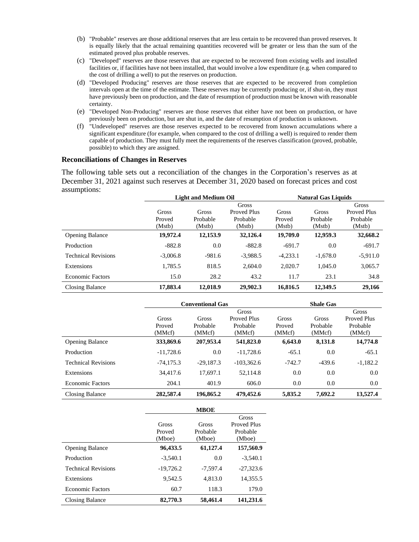- (b) "Probable" reserves are those additional reserves that are less certain to be recovered than proved reserves. It is equally likely that the actual remaining quantities recovered will be greater or less than the sum of the estimated proved plus probable reserves.
- (c) "Developed" reserves are those reserves that are expected to be recovered from existing wells and installed facilities or, if facilities have not been installed, that would involve a low expenditure (e.g. when compared to the cost of drilling a well) to put the reserves on production.
- (d) "Developed Producing" reserves are those reserves that are expected to be recovered from completion intervals open at the time of the estimate. These reserves may be currently producing or, if shut-in, they must have previously been on production, and the date of resumption of production must be known with reasonable certainty.
- (e) "Developed Non-Producing" reserves are those reserves that either have not been on production, or have previously been on production, but are shut in, and the date of resumption of production is unknown.
- (f) "Undeveloped" reserves are those reserves expected to be recovered from known accumulations where a significant expenditure (for example, when compared to the cost of drilling a well) is required to render them capable of production. They must fully meet the requirements of the reserves classification (proved, probable, possible) to which they are assigned.

### **Reconciliations of Changes in Reserves**

The following table sets out a reconciliation of the changes in the Corporation's reserves as at December 31, 2021 against such reserves at December 31, 2020 based on forecast prices and cost assumptions:

|                            | <b>Light and Medium Oil</b> |          |             | <b>Natural Gas Liquids</b> |            |                    |
|----------------------------|-----------------------------|----------|-------------|----------------------------|------------|--------------------|
|                            | Gross                       |          |             |                            |            | Gross              |
|                            | Gross                       | Gross    | Proved Plus | Gross                      | Gross      | <b>Proved Plus</b> |
|                            | Proved                      | Probable | Probable    | Proved                     | Probable   | Probable           |
|                            | (Mstb)                      | (Mstb)   | (Mstb)      | (Mstb)                     | (Mstb)     | (Mstb)             |
| <b>Opening Balance</b>     | 19,972.4                    | 12,153.9 | 32,126.4    | 19,709.0                   | 12,959.3   | 32,668.2           |
| Production                 | $-882.8$                    | 0.0      | $-882.8$    | $-691.7$                   | 0.0        | $-691.7$           |
| <b>Technical Revisions</b> | $-3,006.8$                  | $-981.6$ | $-3.988.5$  | $-4.233.1$                 | $-1.678.0$ | $-5,911.0$         |
| Extensions                 | 1,785.5                     | 818.5    | 2.604.0     | 2,020.7                    | 1.045.0    | 3,065.7            |
| <b>Economic Factors</b>    | 15.0                        | 28.2     | 43.2        | 11.7                       | 23.1       | 34.8               |
| Closing Balance            | 17,883.4                    | 12,018.9 | 29,902.3    | 16,816.5                   | 12,349.5   | 29,166             |

|                            | <b>Conventional Gas</b> |             |                    | <b>Shale Gas</b> |          |                    |
|----------------------------|-------------------------|-------------|--------------------|------------------|----------|--------------------|
|                            | Gross                   |             |                    |                  |          | Gross              |
|                            | Gross                   | Gross       | <b>Proved Plus</b> | Gross            | Gross    | <b>Proved Plus</b> |
|                            | Proved                  | Probable    | Probable           | Proved           | Probable | Probable           |
|                            | (MMcf)                  | (MMcf)      | (MMcf)             | (MMcf)           | (MMcf)   | (MMcf)             |
| <b>Opening Balance</b>     | 333,869.6               | 207,953.4   | 541,823.0          | 6,643.0          | 8,131.8  | 14,774.8           |
| Production                 | $-11,728.6$             | 0.0         | $-11,728.6$        | $-65.1$          | 0.0      | $-65.1$            |
| <b>Technical Revisions</b> | $-74,175.3$             | $-29.187.3$ | $-103.362.6$       | $-742.7$         | $-439.6$ | $-1,182.2$         |
| Extensions                 | 34.417.6                | 17.697.1    | 52,114.8           | 0.0              | 0.0      | 0.0                |
| <b>Economic Factors</b>    | 204.1                   | 401.9       | 606.0              | 0.0              | 0.0      | 0.0                |
| Closing Balance            | 282,587.4               | 196,865.2   | 479,452.6          | 5,835.2          | 7,692.2  | 13,527.4           |

|                            |             | <b>MBOE</b> |             |
|----------------------------|-------------|-------------|-------------|
|                            |             |             | Gross       |
|                            | Gross       | Gross       | Proved Plus |
|                            | Proved      | Probable    | Probable    |
|                            | (Mboe)      | (Mboe)      | (Mboe)      |
| <b>Opening Balance</b>     | 96,433.5    | 61,127.4    | 157,560.9   |
| Production                 | $-3,540.1$  | 0.0         | $-3,540.1$  |
| <b>Technical Revisions</b> | $-19,726.2$ | $-7,597.4$  | $-27.323.6$ |
| Extensions                 | 9.542.5     | 4.813.0     | 14.355.5    |
| <b>Economic Factors</b>    | 60.7        | 118.3       | 179.0       |
| Closing Balance            | 82,770.3    | 58,461.4    | 141,231.6   |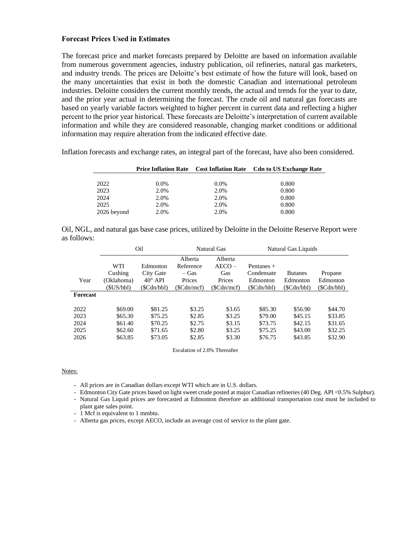## **Forecast Prices Used in Estimates**

The forecast price and market forecasts prepared by Deloitte are based on information available from numerous government agencies, industry publication, oil refineries, natural gas marketers, and industry trends. The prices are Deloitte's best estimate of how the future will look, based on the many uncertainties that exist in both the domestic Canadian and international petroleum industries. Deloitte considers the current monthly trends, the actual and trends for the year to date, and the prior year actual in determining the forecast. The crude oil and natural gas forecasts are based on yearly variable factors weighted to higher percent in current data and reflecting a higher percent to the prior year historical. These forecasts are Deloitte's interpretation of current available information and while they are considered reasonable, changing market conditions or additional information may require alteration from the indicated effective date.

Inflation forecasts and exchange rates, an integral part of the forecast, have also been considered.

|             |         |         | <b>Price Inflation Rate</b> Cost Inflation Rate Cdn to US Exchange Rate |
|-------------|---------|---------|-------------------------------------------------------------------------|
|             |         |         |                                                                         |
| 2022        | $0.0\%$ | $0.0\%$ | 0.800                                                                   |
| 2023        | 2.0%    | 2.0%    | 0.800                                                                   |
| 2024        | 2.0%    | 2.0%    | 0.800                                                                   |
| 2025        | 2.0%    | 2.0%    | 0.800                                                                   |
| 2026 beyond | 2.0%    | 2.0%    | 0.800                                                                   |

|             |  | Oil, NGL, and natural gas base case prices, utilized by Deloitte in the Deloitte Reserve Report were |  |
|-------------|--|------------------------------------------------------------------------------------------------------|--|
| as follows: |  |                                                                                                      |  |

|          | Oil        |                | Natural Gas |            | Natural Gas Liquids |                |            |
|----------|------------|----------------|-------------|------------|---------------------|----------------|------------|
|          |            |                | Alberta     | Alberta    |                     |                |            |
|          | <b>WTI</b> | Edmonton       | Reference   | $AECO -$   | Pentanes $+$        |                |            |
|          | Cushing    | City Gate      | – Gas       | Gas        | Condensate          | <b>Butanes</b> | Propane    |
| Year     | (Oklahoma) | $40^\circ$ API | Prices      | Prices     | Edmonton            | Edmonton       | Edmonton   |
|          | (SUS/bbl)  | (\$Cdn/bbl)    | (SCdn/mcf)  | (SCdn/mcf) | (\$Cdn/bbl)         | (\$Cdn/bbl)    | (SCdn/bbl) |
| Forecast |            |                |             |            |                     |                |            |
| 2022     | \$69.00    | \$81.25        | \$3.25      | \$3.65     | \$85.30             | \$56.90        | \$44.70    |
| 2023     | \$65.30    | \$75.25        | \$2.85      | \$3.25     | \$79.00             | \$45.15        | \$33.85    |
| 2024     | \$61.40    | \$70.25        | \$2.75      | \$3.15     | \$73.75             | \$42.15        | \$31.65    |
| 2025     | \$62.60    | \$71.65        | \$2.80      | \$3.25     | \$75.25             | \$43.00        | \$32.25    |
| 2026     | \$63.85    | \$73.05        | \$2.85      | \$3.30     | \$76.75             | \$43.85        | \$32.90    |

Escalation of 2.0% Thereafter

#### Notes:

- All prices are in Canadian dollars except WTI which are in U.S. dollars.
- Edmonton City Gate prices based on light sweet crude posted at major Canadian refineries (40 Deg. API <0.5% Sulphur).
- Natural Gas Liquid prices are forecasted at Edmonton therefore an additional transportation cost must be included to plant gate sales point.
- 1 Mcf is equivalent to 1 mmbtu.
- Alberta gas prices, except AECO, include an average cost of service to the plant gate.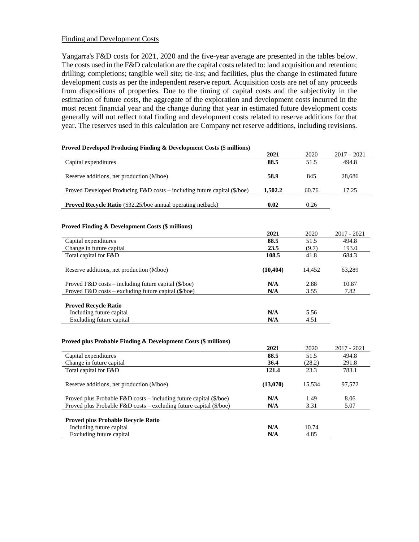## Finding and Development Costs

Yangarra's F&D costs for 2021, 2020 and the five-year average are presented in the tables below. The costs used in the F&D calculation are the capital costs related to: land acquisition and retention; drilling; completions; tangible well site; tie-ins; and facilities, plus the change in estimated future development costs as per the independent reserve report. Acquisition costs are net of any proceeds from dispositions of properties. Due to the timing of capital costs and the subjectivity in the estimation of future costs, the aggregate of the exploration and development costs incurred in the most recent financial year and the change during that year in estimated future development costs generally will not reflect total finding and development costs related to reserve additions for that year. The reserves used in this calculation are Company net reserve additions, including revisions.

| <b>Proved Developed Producing Finding &amp; Development Costs (\$ millions)</b>    |           |        |               |
|------------------------------------------------------------------------------------|-----------|--------|---------------|
|                                                                                    | 2021      | 2020   | $2017 - 2021$ |
| Capital expenditures                                                               | 88.5      | 51.5   | 494.8         |
| Reserve additions, net production (Mboe)                                           | 58.9      | 845    | 28,686        |
| Proved Developed Producing F&D costs - including future capital (\$/boe)           | 1,502.2   | 60.76  | 17.25         |
| <b>Proved Recycle Ratio</b> (\$32.25/boe annual operating netback)                 | 0.02      | 0.26   |               |
|                                                                                    |           |        |               |
| <b>Proved Finding &amp; Development Costs (\$ millions)</b>                        | 2021      | 2020   | 2017 - 2021   |
| Capital expenditures                                                               | 88.5      | 51.5   | 494.8         |
| Change in future capital                                                           | 23.5      | (9.7)  | 193.0         |
| Total capital for F&D                                                              | 108.5     | 41.8   | 684.3         |
| Reserve additions, net production (Mboe)                                           | (10, 404) | 14,452 | 63,289        |
| Proved F&D costs – including future capital (\$/boe)                               | N/A       | 2.88   | 10.87         |
| Proved F&D costs – excluding future capital (\$/boe)                               | N/A       | 3.55   | 7.82          |
| <b>Proved Recycle Ratio</b>                                                        |           |        |               |
| Including future capital                                                           | N/A       | 5.56   |               |
| Excluding future capital                                                           | N/A       | 4.51   |               |
|                                                                                    |           |        |               |
|                                                                                    |           |        |               |
| <b>Proved plus Probable Finding &amp; Development Costs (\$ millions)</b>          | 2021      | 2020   | 2017 - 2021   |
| Capital expenditures                                                               | 88.5      | 51.5   | 494.8         |
| Change in future capital                                                           | 36.4      | (28.2) | 291.8         |
| Total capital for F&D                                                              | 121.4     | 23.3   | 783.1         |
| Reserve additions, net production (Mboe)                                           | (13,070)  | 15,534 | 97,572        |
| Proved plus Probable $F&D \text{ costs} - \text{including future capital ($/boe)}$ | N/A       | 1.49   | 8.06          |
| Proved plus Probable F&D costs - excluding future capital (\$/boe)                 | N/A       | 3.31   | 5.07          |
|                                                                                    |           |        |               |
| Proved plus Probable Recycle Ratio<br>Including future capital                     | N/A       | 10.74  |               |
| Excluding future capital                                                           | N/A       | 4.85   |               |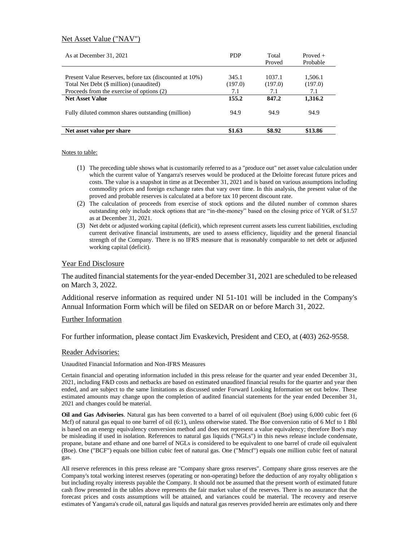### Net Asset Value ("NAV")

| As at December 31, 2021                                | <b>PDP</b> | Total<br>Proved | Proved $+$<br>Probable |
|--------------------------------------------------------|------------|-----------------|------------------------|
|                                                        |            |                 |                        |
| Present Value Reserves, before tax (discounted at 10%) | 345.1      | 1037.1          | 1.506.1                |
| Total Net Debt (\$ million) (unaudited)                | (197.0)    | (197.0)         | (197.0)                |
| Proceeds from the exercise of options (2)              | 7.1        | 7.1             | 7.1                    |
| <b>Net Asset Value</b>                                 | 155.2      | 847.2           | 1,316.2                |
| Fully diluted common shares outstanding (million)      | 94.9       | 94.9            | 94.9                   |
| Net asset value per share                              | \$1.63     | \$8.92          | \$13.86                |

Notes to table:

- (1) The preceding table shows what is customarily referred to as a "produce out" net asset value calculation under which the current value of Yangarra's reserves would be produced at the Deloitte forecast future prices and costs. The value is a snapshot in time as at December 31, 2021 and is based on various assumptions including commodity prices and foreign exchange rates that vary over time. In this analysis, the present value of the proved and probable reserves is calculated at a before tax 10 percent discount rate.
- (2) The calculation of proceeds from exercise of stock options and the diluted number of common shares outstanding only include stock options that are "in-the-money" based on the closing price of YGR of \$1.57 as at December 31, 2021.
- (3) Net debt or adjusted working capital (deficit), which represent current assets less current liabilities, excluding current derivative financial instruments, are used to assess efficiency, liquidity and the general financial strength of the Company. There is no IFRS measure that is reasonably comparable to net debt or adjusted working capital (deficit).

### Year End Disclosure

The audited financial statements for the year-ended December 31, 2021 are scheduled to be released on March 3, 2022.

Additional reserve information as required under NI 51-101 will be included in the Company's Annual Information Form which will be filed on SEDAR on or before March 31, 2022.

### Further Information

For further information, please contact Jim Evaskevich, President and CEO, at (403) 262-9558.

### Reader Advisories:

Unaudited Financial Information and Non-IFRS Measures

Certain financial and operating information included in this press release for the quarter and year ended December 31, 2021, including F&D costs and netbacks are based on estimated unaudited financial results for the quarter and year then ended, and are subject to the same limitations as discussed under Forward Looking Information set out below. These estimated amounts may change upon the completion of audited financial statements for the year ended December 31, 2021 and changes could be material.

**Oil and Gas Advisories**. Natural gas has been converted to a barrel of oil equivalent (Boe) using 6,000 cubic feet (6 Mcf) of natural gas equal to one barrel of oil (6:1), unless otherwise stated. The Boe conversion ratio of 6 Mcf to 1 Bbl is based on an energy equivalency conversion method and does not represent a value equivalency; therefore Boe's may be misleading if used in isolation. References to natural gas liquids ("NGLs") in this news release include condensate, propane, butane and ethane and one barrel of NGLs is considered to be equivalent to one barrel of crude oil equivalent (Boe). One ("BCF") equals one billion cubic feet of natural gas. One ("Mmcf") equals one million cubic feet of natural gas.

All reserve references in this press release are "Company share gross reserves". Company share gross reserves are the Company's total working interest reserves (operating or non-operating) before the deduction of any royalty obligation s but including royalty interests payable the Company. It should not be assumed that the present worth of estimated future cash flow presented in the tables above represents the fair market value of the reserves. There is no assurance that the forecast prices and costs assumptions will be attained, and variances could be material. The recovery and reserve estimates of Yangarra's crude oil, natural gas liquids and natural gas reserves provided herein are estimates only and there